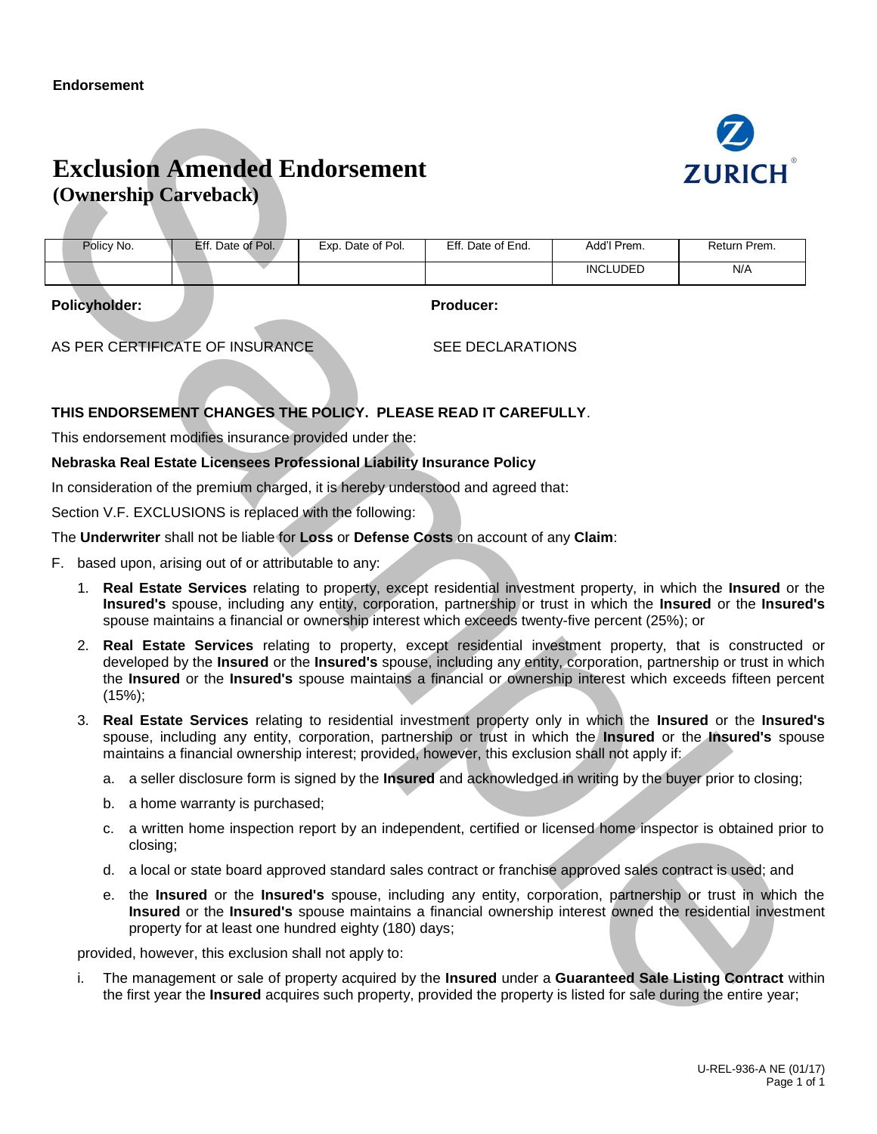## **Exclusion Amended Endorsement (Ownership Carveback)**



Policy No. **Eff.** Date of Pol. Exp. Date of Pol. Eff. Date of End. Add'l Prem. Return Prem. INCLUDED N/A

**Policyholder: Producer:**

AS PER CERTIFICATE OF INSURANCE SEE DECLARATIONS

## **THIS ENDORSEMENT CHANGES THE POLICY. PLEASE READ IT CAREFULLY**.

This endorsement modifies insurance provided under the:

## **Nebraska Real Estate Licensees Professional Liability Insurance Policy**

In consideration of the premium charged, it is hereby understood and agreed that:

Section V.F. EXCLUSIONS is replaced with the following:

## The **Underwriter** shall not be liable for **Loss** or **Defense Costs** on account of any **Claim**:

- F. based upon, arising out of or attributable to any:
	- 1. **Real Estate Services** relating to property, except residential investment property, in which the **Insured** or the **Insured's** spouse, including any entity, corporation, partnership or trust in which the **Insured** or the **Insured's** spouse maintains a financial or ownership interest which exceeds twenty-five percent (25%); or
- Exclusion Amended Endorsement<br>
(Ownership Carveback)<br>
Sample in the control of the same of the control of the control of the control of the control of the control of the control of the control of the control of the contro 2. **Real Estate Services** relating to property, except residential investment property, that is constructed or developed by the **Insured** or the **Insured's** spouse, including any entity, corporation, partnership or trust in which the **Insured** or the **Insured's** spouse maintains a financial or ownership interest which exceeds fifteen percent (15%);
	- 3. **Real Estate Services** relating to residential investment property only in which the **Insured** or the **Insured's** spouse, including any entity, corporation, partnership or trust in which the **Insured** or the **Insured's** spouse maintains a financial ownership interest; provided, however, this exclusion shall not apply if:
		- a. a seller disclosure form is signed by the **Insured** and acknowledged in writing by the buyer prior to closing;
		- b. a home warranty is purchased;
		- c. a written home inspection report by an independent, certified or licensed home inspector is obtained prior to closing;
		- d. a local or state board approved standard sales contract or franchise approved sales contract is used; and
		- e. the **Insured** or the **Insured's** spouse, including any entity, corporation, partnership or trust in which the **Insured** or the **Insured's** spouse maintains a financial ownership interest owned the residential investment property for at least one hundred eighty (180) days;

provided, however, this exclusion shall not apply to:

i. The management or sale of property acquired by the **Insured** under a **Guaranteed Sale Listing Contract** within the first year the **Insured** acquires such property, provided the property is listed for sale during the entire year;